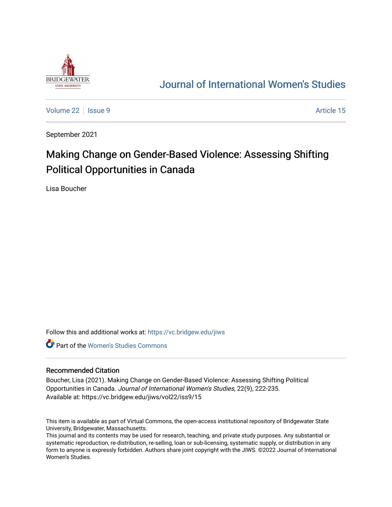

## [Journal of International Women's Studies](https://vc.bridgew.edu/jiws)

[Volume 22](https://vc.bridgew.edu/jiws/vol22) | [Issue 9](https://vc.bridgew.edu/jiws/vol22/iss9) Article 15

September 2021

# Making Change on Gender-Based Violence: Assessing Shifting Political Opportunities in Canada

Lisa Boucher

Follow this and additional works at: [https://vc.bridgew.edu/jiws](https://vc.bridgew.edu/jiws?utm_source=vc.bridgew.edu%2Fjiws%2Fvol22%2Fiss9%2F15&utm_medium=PDF&utm_campaign=PDFCoverPages)

**C** Part of the Women's Studies Commons

#### Recommended Citation

Boucher, Lisa (2021). Making Change on Gender-Based Violence: Assessing Shifting Political Opportunities in Canada. Journal of International Women's Studies, 22(9), 222-235. Available at: https://vc.bridgew.edu/jiws/vol22/iss9/15

This item is available as part of Virtual Commons, the open-access institutional repository of Bridgewater State University, Bridgewater, Massachusetts.

This journal and its contents may be used for research, teaching, and private study purposes. Any substantial or systematic reproduction, re-distribution, re-selling, loan or sub-licensing, systematic supply, or distribution in any form to anyone is expressly forbidden. Authors share joint copyright with the JIWS. ©2022 Journal of International Women's Studies.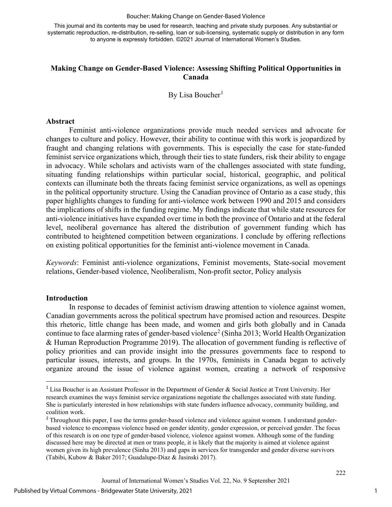This journal and its contents may be used for research, teaching and private study purposes. Any substantial or systematic reproduction, re-distribution, re-selling, loan or sub-licensing, systematic supply or distribution in any form to anyone is expressly forbidden. ©2021 Journal of International Women's Studies.

## **Making Change on Gender-Based Violence: Assessing Shifting Political Opportunities in Canada**

By Lisa Boucher<sup>[1](#page-1-0)</sup>

#### **Abstract**

Feminist anti-violence organizations provide much needed services and advocate for changes to culture and policy. However, their ability to continue with this work is jeopardized by fraught and changing relations with governments. This is especially the case for state-funded feminist service organizations which, through their ties to state funders, risk their ability to engage in advocacy. While scholars and activists warn of the challenges associated with state funding, situating funding relationships within particular social, historical, geographic, and political contexts can illuminate both the threats facing feminist service organizations, as well as openings in the political opportunity structure. Using the Canadian province of Ontario as a case study, this paper highlights changes to funding for anti-violence work between 1990 and 2015 and considers the implications of shifts in the funding regime. My findings indicate that while state resources for anti-violence initiatives have expanded over time in both the province of Ontario and at the federal level, neoliberal governance has altered the distribution of government funding which has contributed to heightened competition between organizations. I conclude by offering reflections on existing political opportunities for the feminist anti-violence movement in Canada.

*Keywords*: Feminist anti-violence organizations, Feminist movements, State-social movement relations, Gender-based violence, Neoliberalism, Non-profit sector, Policy analysis

#### **Introduction**

In response to decades of feminist activism drawing attention to violence against women, Canadian governments across the political spectrum have promised action and resources. Despite this rhetoric, little change has been made, and women and girls both globally and in Canada continue to face alarming rates of gender-based violence<sup>[2](#page-1-1)</sup> (Sinha 2013; World Health Organization & Human Reproduction Programme 2019). The allocation of government funding is reflective of policy priorities and can provide insight into the pressures governments face to respond to particular issues, interests, and groups. In the 1970s, feminists in Canada began to actively organize around the issue of violence against women, creating a network of responsive

<span id="page-1-0"></span><sup>1</sup> Lisa Boucher is an Assistant Professor in the Department of Gender & Social Justice at Trent University. Her research examines the ways feminist service organizations negotiate the challenges associated with state funding. She is particularly interested in how relationships with state funders influence advocacy, community building, and coalition work.

<span id="page-1-1"></span><sup>&</sup>lt;sup>2</sup> Throughout this paper, I use the terms gender-based violence and violence against women. I understand genderbased violence to encompass violence based on gender identity, gender expression, or perceived gender. The focus of this research is on one type of gender-based violence, violence against women. Although some of the funding discussed here may be directed at men or trans people, it is likely that the majority is aimed at violence against women given its high prevalence (Sinha 2013) and gaps in services for transgender and gender diverse survivors (Tabibi, Kubow & Baker 2017; Guadalupe-Diaz & Jasinski 2017).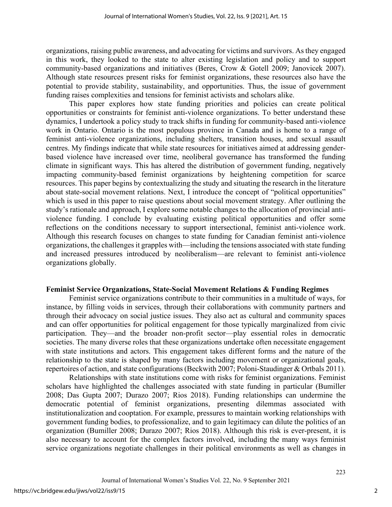organizations, raising public awareness, and advocating for victims and survivors. As they engaged in this work, they looked to the state to alter existing legislation and policy and to support community-based organizations and initiatives (Beres, Crow & Gotell 2009; Janovicek 2007). Although state resources present risks for feminist organizations, these resources also have the potential to provide stability, sustainability, and opportunities. Thus, the issue of government funding raises complexities and tensions for feminist activists and scholars alike.

This paper explores how state funding priorities and policies can create political opportunities or constraints for feminist anti-violence organizations. To better understand these dynamics, I undertook a policy study to track shifts in funding for community-based anti-violence work in Ontario. Ontario is the most populous province in Canada and is home to a range of feminist anti-violence organizations, including shelters, transition houses, and sexual assault centres. My findings indicate that while state resources for initiatives aimed at addressing genderbased violence have increased over time, neoliberal governance has transformed the funding climate in significant ways. This has altered the distribution of government funding, negatively impacting community-based feminist organizations by heightening competition for scarce resources. This paper begins by contextualizing the study and situating the research in the literature about state-social movement relations. Next, I introduce the concept of "political opportunities" which is used in this paper to raise questions about social movement strategy. After outlining the study's rationale and approach, I explore some notable changes to the allocation of provincial antiviolence funding. I conclude by evaluating existing political opportunities and offer some reflections on the conditions necessary to support intersectional, feminist anti-violence work. Although this research focuses on changes to state funding for Canadian feminist anti-violence organizations, the challenges it grapples with—including the tensions associated with state funding and increased pressures introduced by neoliberalism—are relevant to feminist anti-violence organizations globally.

## **Feminist Service Organizations, State-Social Movement Relations & Funding Regimes**

Feminist service organizations contribute to their communities in a multitude of ways, for instance, by filling voids in services, through their collaborations with community partners and through their advocacy on social justice issues. They also act as cultural and community spaces and can offer opportunities for political engagement for those typically marginalized from civic participation. They—and the broader non-profit sector—play essential roles in democratic societies. The many diverse roles that these organizations undertake often necessitate engagement with state institutions and actors. This engagement takes different forms and the nature of the relationship to the state is shaped by many factors including movement or organizational goals, repertoires of action, and state configurations (Beckwith 2007; Poloni-Staudinger & Ortbals 2011).

Relationships with state institutions come with risks for feminist organizations. Feminist scholars have highlighted the challenges associated with state funding in particular (Bumiller 2008; Das Gupta 2007; Durazo 2007; Rios 2018). Funding relationships can undermine the democratic potential of feminist organizations, presenting dilemmas associated with institutionalization and cooptation. For example, pressures to maintain working relationships with government funding bodies, to professionalize, and to gain legitimacy can dilute the politics of an organization (Bumiller 2008; Durazo 2007; Rios 2018). Although this risk is ever-present, it is also necessary to account for the complex factors involved, including the many ways feminist service organizations negotiate challenges in their political environments as well as changes in

2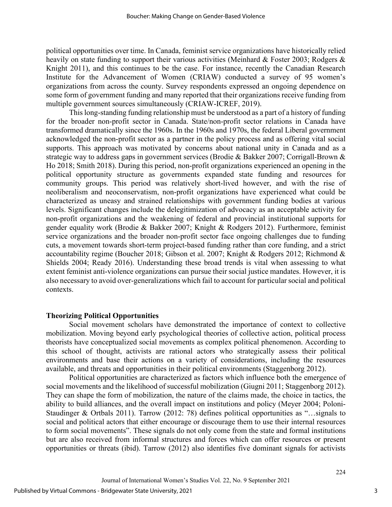political opportunities over time. In Canada, feminist service organizations have historically relied heavily on state funding to support their various activities (Meinhard & Foster 2003; Rodgers & Knight 2011), and this continues to be the case. For instance, recently the Canadian Research Institute for the Advancement of Women (CRIAW) conducted a survey of 95 women's organizations from across the county. Survey respondents expressed an ongoing dependence on some form of government funding and many reported that their organizations receive funding from multiple government sources simultaneously (CRIAW-ICREF, 2019).

This long-standing funding relationship must be understood as a part of a history of funding for the broader non-profit sector in Canada. State/non-profit sector relations in Canada have transformed dramatically since the 1960s. In the 1960s and 1970s, the federal Liberal government acknowledged the non-profit sector as a partner in the policy process and as offering vital social supports. This approach was motivated by concerns about national unity in Canada and as a strategic way to address gaps in government services (Brodie & Bakker 2007; Corrigall-Brown & Ho 2018; Smith 2018). During this period, non-profit organizations experienced an opening in the political opportunity structure as governments expanded state funding and resources for community groups. This period was relatively short-lived however, and with the rise of neoliberalism and neoconservatism, non-profit organizations have experienced what could be characterized as uneasy and strained relationships with government funding bodies at various levels. Significant changes include the delegitimization of advocacy as an acceptable activity for non-profit organizations and the weakening of federal and provincial institutional supports for gender equality work (Brodie & Bakker 2007; Knight & Rodgers 2012). Furthermore, feminist service organizations and the broader non-profit sector face ongoing challenges due to funding cuts, a movement towards short-term project-based funding rather than core funding, and a strict accountability regime (Boucher 2018; Gibson et al. 2007; Knight & Rodgers 2012; Richmond & Shields 2004; Ready 2016). Understanding these broad trends is vital when assessing to what extent feminist anti-violence organizations can pursue their social justice mandates. However, it is also necessary to avoid over-generalizations which fail to account for particular social and political contexts.

#### **Theorizing Political Opportunities**

Social movement scholars have demonstrated the importance of context to collective mobilization. Moving beyond early psychological theories of collective action, political process theorists have conceptualized social movements as complex political phenomenon. According to this school of thought, activists are rational actors who strategically assess their political environments and base their actions on a variety of considerations, including the resources available, and threats and opportunities in their political environments (Staggenborg 2012).

Political opportunities are characterized as factors which influence both the emergence of social movements and the likelihood of successful mobilization (Giugni 2011; Staggenborg 2012). They can shape the form of mobilization, the nature of the claims made, the choice in tactics, the ability to build alliances, and the overall impact on institutions and policy (Meyer 2004; Poloni-Staudinger & Ortbals 2011). Tarrow (2012: 78) defines political opportunities as "…signals to social and political actors that either encourage or discourage them to use their internal resources to form social movements". These signals do not only come from the state and formal institutions but are also received from informal structures and forces which can offer resources or present opportunities or threats (ibid). Tarrow (2012) also identifies five dominant signals for activists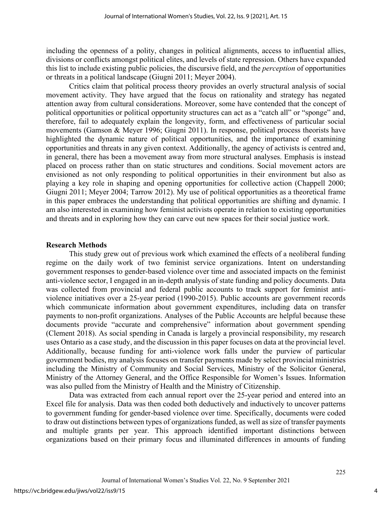including the openness of a polity, changes in political alignments, access to influential allies, divisions or conflicts amongst political elites, and levels of state repression. Others have expanded this list to include existing public policies, the discursive field, and the *perception* of opportunities or threats in a political landscape (Giugni 2011; Meyer 2004).

Critics claim that political process theory provides an overly structural analysis of social movement activity. They have argued that the focus on rationality and strategy has negated attention away from cultural considerations. Moreover, some have contended that the concept of political opportunities or political opportunity structures can act as a "catch all" or "sponge" and, therefore, fail to adequately explain the longevity, form, and effectiveness of particular social movements (Gamson & Meyer 1996; Giugni 2011). In response, political process theorists have highlighted the dynamic nature of political opportunities, and the importance of examining opportunities and threats in any given context. Additionally, the agency of activists is centred and, in general, there has been a movement away from more structural analyses. Emphasis is instead placed on process rather than on static structures and conditions. Social movement actors are envisioned as not only responding to political opportunities in their environment but also as playing a key role in shaping and opening opportunities for collective action (Chappell 2000; Giugni 2011; Meyer 2004; Tarrow 2012). My use of political opportunities as a theoretical frame in this paper embraces the understanding that political opportunities are shifting and dynamic. I am also interested in examining how feminist activists operate in relation to existing opportunities and threats and in exploring how they can carve out new spaces for their social justice work.

### **Research Methods**

This study grew out of previous work which examined the effects of a neoliberal funding regime on the daily work of two feminist service organizations. Intent on understanding government responses to gender-based violence over time and associated impacts on the feminist anti-violence sector, I engaged in an in-depth analysis of state funding and policy documents. Data was collected from provincial and federal public accounts to track support for feminist antiviolence initiatives over a 25-year period (1990-2015). Public accounts are government records which communicate information about government expenditures, including data on transfer payments to non-profit organizations. Analyses of the Public Accounts are helpful because these documents provide "accurate and comprehensive" information about government spending (Clement 2018). As social spending in Canada is largely a provincial responsibility, my research uses Ontario as a case study, and the discussion in this paper focuses on data at the provincial level. Additionally, because funding for anti-violence work falls under the purview of particular government bodies, my analysis focuses on transfer payments made by select provincial ministries including the Ministry of Community and Social Services, Ministry of the Solicitor General, Ministry of the Attorney General, and the Office Responsible for Women's Issues. Information was also pulled from the Ministry of Health and the Ministry of Citizenship.

Data was extracted from each annual report over the 25-year period and entered into an Excel file for analysis. Data was then coded both deductively and inductively to uncover patterns to government funding for gender-based violence over time. Specifically, documents were coded to draw out distinctions between types of organizations funded, as well as size of transfer payments and multiple grants per year. This approach identified important distinctions between organizations based on their primary focus and illuminated differences in amounts of funding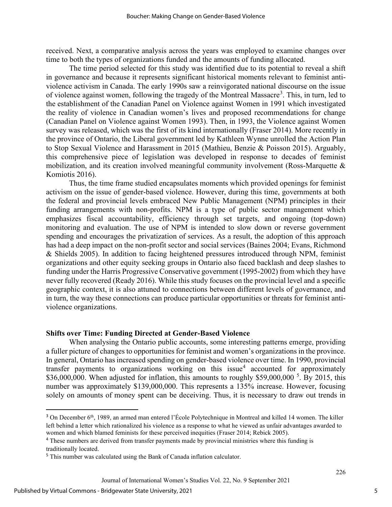received. Next, a comparative analysis across the years was employed to examine changes over time to both the types of organizations funded and the amounts of funding allocated.

The time period selected for this study was identified due to its potential to reveal a shift in governance and because it represents significant historical moments relevant to feminist antiviolence activism in Canada. The early 1990s saw a reinvigorated national discourse on the issue of violence against women, following the tragedy of the Montreal Massacre<sup>[3](#page-5-0)</sup>. This, in turn, led to the establishment of the Canadian Panel on Violence against Women in 1991 which investigated the reality of violence in Canadian women's lives and proposed recommendations for change (Canadian Panel on Violence against Women 1993). Then, in 1993, the Violence against Women survey was released, which was the first of its kind internationally (Fraser 2014). More recently in the province of Ontario, the Liberal government led by Kathleen Wynne unrolled the Action Plan to Stop Sexual Violence and Harassment in 2015 (Mathieu, Benzie & Poisson 2015). Arguably, this comprehensive piece of legislation was developed in response to decades of feminist mobilization, and its creation involved meaningful community involvement (Ross-Marquette & Komiotis 2016).

Thus, the time frame studied encapsulates moments which provided openings for feminist activism on the issue of gender-based violence. However, during this time, governments at both the federal and provincial levels embraced New Public Management (NPM) principles in their funding arrangements with non-profits. NPM is a type of public sector management which emphasizes fiscal accountability, efficiency through set targets, and ongoing (top-down) monitoring and evaluation. The use of NPM is intended to slow down or reverse government spending and encourages the privatization of services. As a result, the adoption of this approach has had a deep impact on the non-profit sector and social services (Baines 2004; Evans, Richmond & Shields 2005). In addition to facing heightened pressures introduced through NPM, feminist organizations and other equity seeking groups in Ontario also faced backlash and deep slashes to funding under the Harris Progressive Conservative government (1995-2002) from which they have never fully recovered (Ready 2016). While this study focuses on the provincial level and a specific geographic context, it is also attuned to connections between different levels of governance, and in turn, the way these connections can produce particular opportunities or threats for feminist antiviolence organizations.

#### **Shifts over Time: Funding Directed at Gender-Based Violence**

When analysing the Ontario public accounts, some interesting patterns emerge, providing a fuller picture of changes to opportunities for feminist and women's organizations in the province. In general, Ontario has increased spending on gender-based violence over time. In 1990, provincial transfer payments to organizations working on this issue<sup>[4](#page-5-1)</sup> accounted for approximately  $$36,000,000$ . When adjusted for inflation, this amounts to roughly \$[5](#page-5-2)9,000,000<sup>5</sup>. By 2015, this number was approximately \$139,000,000. This represents a 135% increase. However, focusing solely on amounts of money spent can be deceiving. Thus, it is necessary to draw out trends in

<span id="page-5-0"></span><sup>&</sup>lt;sup>3</sup> On December 6<sup>th</sup>, 1989, an armed man entered l'École Polytechnique in Montreal and killed 14 women. The killer left behind a letter which rationalized his violence as a response to what he viewed as unfair advantages awarded to women and which blamed feminists for these perceived inequities (Fraser 2014; Rebick 2005).

<span id="page-5-1"></span><sup>&</sup>lt;sup>4</sup> These numbers are derived from transfer payments made by provincial ministries where this funding is traditionally located.

<span id="page-5-2"></span><sup>5</sup> This number was calculated using the Bank of Canada inflation calculator.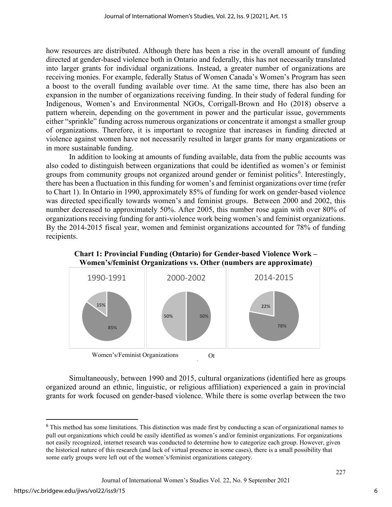how resources are distributed. Although there has been a rise in the overall amount of funding directed at gender-based violence both in Ontario and federally, this has not necessarily translated into larger grants for individual organizations. Instead, a greater number of organizations are receiving monies. For example, federally Status of Women Canada's Women's Program has seen a boost to the overall funding available over time. At the same time, there has also been an expansion in the number of organizations receiving funding. In their study of federal funding for Indigenous, Women's and Environmental NGOs, Corrigall-Brown and Ho (2018) observe a pattern wherein, depending on the government in power and the particular issue, governments either "sprinkle" funding across numerous organizations or concentrate it amongst a smaller group of organizations. Therefore, it is important to recognize that increases in funding directed at violence against women have not necessarily resulted in larger grants for many organizations or in more sustainable funding.

In addition to looking at amounts of funding available, data from the public accounts was also coded to distinguish between organizations that could be identified as women's or feminist groups from community groups not organized around gender or feminist politics<sup>[6](#page-6-0)</sup>. Interestingly, there has been a fluctuation in this funding for women's and feminist organizations over time (refer to Chart 1). In Ontario in 1990, approximately 85% of funding for work on gender-based violence was directed specifically towards women's and feminist groups. Between 2000 and 2002, this number decreased to approximately 50%. After 2005, this number rose again with over 80% of organizations receiving funding for anti-violence work being women's and feminist organizations. By the 2014-2015 fiscal year, women and feminist organizations accounted for 78% of funding recipients.



**Chart 1: Provincial Funding (Ontario) for Gender-based Violence Work – Women's/feminist Organizations vs. Other (numbers are approximate)** 

Simultaneously, between 1990 and 2015, cultural organizations (identified here as groups organized around an ethnic, linguistic, or religious affiliation) experienced a gain in provincial grants for work focused on gender-based violence. While there is some overlap between the two

h

Women's/Feminist Organizations Ot

<span id="page-6-0"></span><sup>6</sup> This method has some limitations. This distinction was made first by conducting a scan of organizational names to pull out organizations which could be easily identified as women's and/or feminist organizations. For organizations not easily recognized, internet research was conducted to determine how to categorize each group. However, given the historical nature of this research (and lack of virtual presence in some cases), there is a small possibility that some early groups were left out of the women's/feminist organizations category.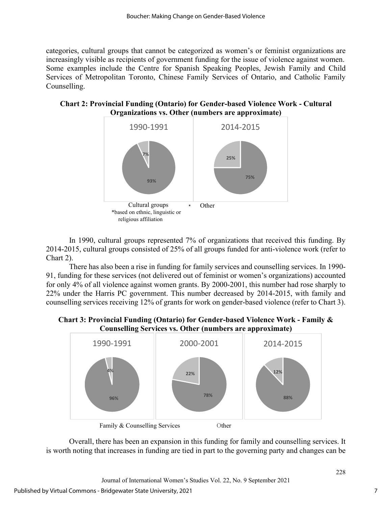categories, cultural groups that cannot be categorized as women's or feminist organizations are increasingly visible as recipients of government funding for the issue of violence against women. Some examples include the Centre for Spanish Speaking Peoples, Jewish Family and Child Services of Metropolitan Toronto, Chinese Family Services of Ontario, and Catholic Family Counselling.

**Chart 2: Provincial Funding (Ontario) for Gender-based Violence Work - Cultural Organizations vs. Other (numbers are approximate)**



In 1990, cultural groups represented 7% of organizations that received this funding. By 2014-2015, cultural groups consisted of 25% of all groups funded for anti-violence work (refer to Chart 2).

There has also been a rise in funding for family services and counselling services. In 1990- 91, funding for these services (not delivered out of feminist or women's organizations) accounted for only 4% of all violence against women grants. By 2000-2001, this number had rose sharply to 22% under the Harris PC government. This number decreased by 2014-2015, with family and counselling services receiving 12% of grants for work on gender-based violence (refer to Chart 3).

**Chart 3: Provincial Funding (Ontario) for Gender-based Violence Work - Family & Counselling Services vs. Other (numbers are approximate)**



Overall, there has been an expansion in this funding for family and counselling services. It is worth noting that increases in funding are tied in part to the governing party and changes can be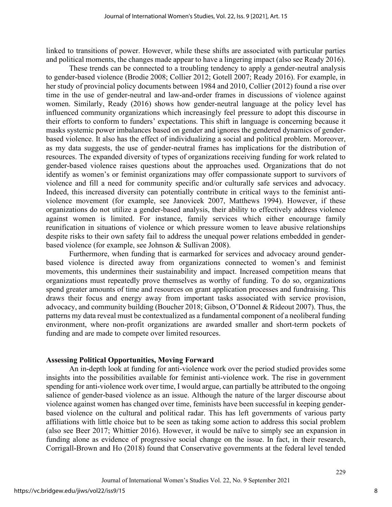linked to transitions of power. However, while these shifts are associated with particular parties and political moments, the changes made appear to have a lingering impact (also see Ready 2016).

These trends can be connected to a troubling tendency to apply a gender-neutral analysis to gender-based violence (Brodie 2008; Collier 2012; Gotell 2007; Ready 2016). For example, in her study of provincial policy documents between 1984 and 2010, Collier (2012) found a rise over time in the use of gender-neutral and law-and-order frames in discussions of violence against women. Similarly, Ready (2016) shows how gender-neutral language at the policy level has influenced community organizations which increasingly feel pressure to adopt this discourse in their efforts to conform to funders' expectations. This shift in language is concerning because it masks systemic power imbalances based on gender and ignores the gendered dynamics of genderbased violence. It also has the effect of individualizing a social and political problem. Moreover, as my data suggests, the use of gender-neutral frames has implications for the distribution of resources. The expanded diversity of types of organizations receiving funding for work related to gender-based violence raises questions about the approaches used. Organizations that do not identify as women's or feminist organizations may offer compassionate support to survivors of violence and fill a need for community specific and/or culturally safe services and advocacy. Indeed, this increased diversity can potentially contribute in critical ways to the feminist antiviolence movement (for example, see Janovicek 2007, Matthews 1994). However, if these organizations do not utilize a gender-based analysis, their ability to effectively address violence against women is limited. For instance, family services which either encourage family reunification in situations of violence or which pressure women to leave abusive relationships despite risks to their own safety fail to address the unequal power relations embedded in genderbased violence (for example, see Johnson & Sullivan 2008).

Furthermore, when funding that is earmarked for services and advocacy around genderbased violence is directed away from organizations connected to women's and feminist movements, this undermines their sustainability and impact. Increased competition means that organizations must repeatedly prove themselves as worthy of funding. To do so, organizations spend greater amounts of time and resources on grant application processes and fundraising. This draws their focus and energy away from important tasks associated with service provision, advocacy, and community building (Boucher 2018; Gibson, O'Donnel & Rideout 2007). Thus, the patterns my data reveal must be contextualized as a fundamental component of a neoliberal funding environment, where non-profit organizations are awarded smaller and short-term pockets of funding and are made to compete over limited resources.

#### **Assessing Political Opportunities, Moving Forward**

An in-depth look at funding for anti-violence work over the period studied provides some insights into the possibilities available for feminist anti-violence work. The rise in government spending for anti-violence work over time, I would argue, can partially be attributed to the ongoing salience of gender-based violence as an issue. Although the nature of the larger discourse about violence against women has changed over time, feminists have been successful in keeping genderbased violence on the cultural and political radar. This has left governments of various party affiliations with little choice but to be seen as taking some action to address this social problem (also see Beer 2017; Whittier 2016). However, it would be naïve to simply see an expansion in funding alone as evidence of progressive social change on the issue. In fact, in their research, Corrigall-Brown and Ho (2018) found that Conservative governments at the federal level tended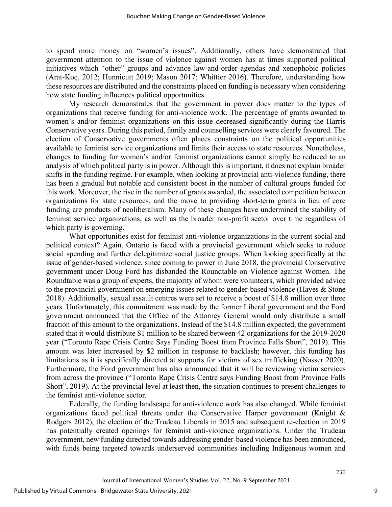to spend more money on "women's issues". Additionally, others have demonstrated that government attention to the issue of violence against women has at times supported political initiatives which "other" groups and advance law-and-order agendas and xenophobic policies (Arat-Koç, 2012; Hunnicutt 2019; Mason 2017; Whittier 2016). Therefore, understanding how these resources are distributed and the constraints placed on funding is necessary when considering how state funding influences political opportunities.

My research demonstrates that the government in power does matter to the types of organizations that receive funding for anti-violence work. The percentage of grants awarded to women's and/or feminist organizations on this issue decreased significantly during the Harris Conservative years. During this period, family and counselling services were clearly favoured. The election of Conservative governments often places constraints on the political opportunities available to feminist service organizations and limits their access to state resources. Nonetheless, changes to funding for women's and/or feminist organizations cannot simply be reduced to an analysis of which political party is in power. Although this is important, it does not explain broader shifts in the funding regime. For example, when looking at provincial anti-violence funding, there has been a gradual but notable and consistent boost in the number of cultural groups funded for this work. Moreover, the rise in the number of grants awarded, the associated competition between organizations for state resources, and the move to providing short-term grants in lieu of core funding are products of neoliberalism. Many of these changes have undermined the stability of feminist service organizations, as well as the broader non-profit sector over time regardless of which party is governing.

What opportunities exist for feminist anti-violence organizations in the current social and political context? Again, Ontario is faced with a provincial government which seeks to reduce social spending and further delegitimize social justice groups. When looking specifically at the issue of gender-based violence, since coming to power in June 2018, the provincial Conservative government under Doug Ford has disbanded the Roundtable on Violence against Women. The Roundtable was a group of experts, the majority of whom were volunteers, which provided advice to the provincial government on emerging issues related to gender-based violence (Hayes & Stone 2018). Additionally, sexual assault centres were set to receive a boost of \$14.8 million over three years. Unfortunately, this commitment was made by the former Liberal government and the Ford government announced that the Office of the Attorney General would only distribute a small fraction of this amount to the organizations. Instead of the \$14.8 million expected, the government stated that it would distribute \$1 million to be shared between 42 organizations for the 2019-2020 year ("Toronto Rape Crisis Centre Says Funding Boost from Province Falls Short", 2019). This amount was later increased by \$2 million in response to backlash; however, this funding has limitations as it is specifically directed at supports for victims of sex trafficking (Nasser 2020). Furthermore, the Ford government has also announced that it will be reviewing victim services from across the province ("Toronto Rape Crisis Centre says Funding Boost from Province Falls Short", 2019). At the provincial level at least then, the situation continues to present challenges to the feminist anti-violence sector.

Federally, the funding landscape for anti-violence work has also changed. While feminist organizations faced political threats under the Conservative Harper government (Knight & Rodgers 2012), the election of the Trudeau Liberals in 2015 and subsequent re-election in 2019 has potentially created openings for feminist anti-violence organizations. Under the Trudeau government, new funding directed towards addressing gender-based violence has been announced, with funds being targeted towards underserved communities including Indigenous women and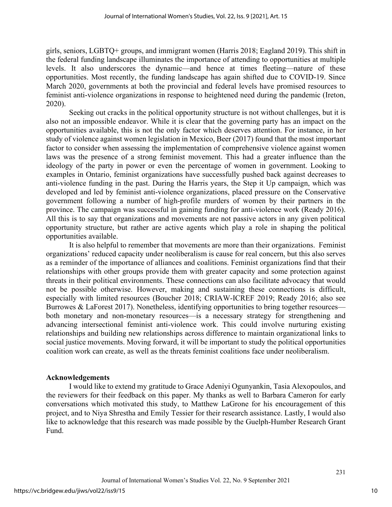girls, seniors, LGBTQ+ groups, and immigrant women (Harris 2018; Eagland 2019). This shift in the federal funding landscape illuminates the importance of attending to opportunities at multiple levels. It also underscores the dynamic—and hence at times fleeting—nature of these opportunities. Most recently, the funding landscape has again shifted due to COVID-19. Since March 2020, governments at both the provincial and federal levels have promised resources to feminist anti-violence organizations in response to heightened need during the pandemic (Ireton, 2020).

Seeking out cracks in the political opportunity structure is not without challenges, but it is also not an impossible endeavor. While it is clear that the governing party has an impact on the opportunities available, this is not the only factor which deserves attention. For instance, in her study of violence against women legislation in Mexico, Beer (2017) found that the most important factor to consider when assessing the implementation of comprehensive violence against women laws was the presence of a strong feminist movement. This had a greater influence than the ideology of the party in power or even the percentage of women in government. Looking to examples in Ontario, feminist organizations have successfully pushed back against decreases to anti-violence funding in the past. During the Harris years, the Step it Up campaign, which was developed and led by feminist anti-violence organizations, placed pressure on the Conservative government following a number of high-profile murders of women by their partners in the province. The campaign was successful in gaining funding for anti-violence work (Ready 2016). All this is to say that organizations and movements are not passive actors in any given political opportunity structure, but rather are active agents which play a role in shaping the political opportunities available.

It is also helpful to remember that movements are more than their organizations. Feminist organizations' reduced capacity under neoliberalism is cause for real concern, but this also serves as a reminder of the importance of alliances and coalitions. Feminist organizations find that their relationships with other groups provide them with greater capacity and some protection against threats in their political environments. These connections can also facilitate advocacy that would not be possible otherwise. However, making and sustaining these connections is difficult, especially with limited resources (Boucher 2018; CRIAW-ICREF 2019; Ready 2016; also see Burrowes & LaForest 2017). Nonetheless, identifying opportunities to bring together resources both monetary and non-monetary resources—is a necessary strategy for strengthening and advancing intersectional feminist anti-violence work. This could involve nurturing existing relationships and building new relationships across difference to maintain organizational links to social justice movements. Moving forward, it will be important to study the political opportunities coalition work can create, as well as the threats feminist coalitions face under neoliberalism.

## **Acknowledgements**

I would like to extend my gratitude to Grace Adeniyi Ogunyankin, Tasia Alexopoulos, and the reviewers for their feedback on this paper. My thanks as well to Barbara Cameron for early conversations which motivated this study, to Matthew LaGrone for his encouragement of this project, and to Niya Shrestha and Emily Tessier for their research assistance. Lastly, I would also like to acknowledge that this research was made possible by the Guelph-Humber Research Grant Fund.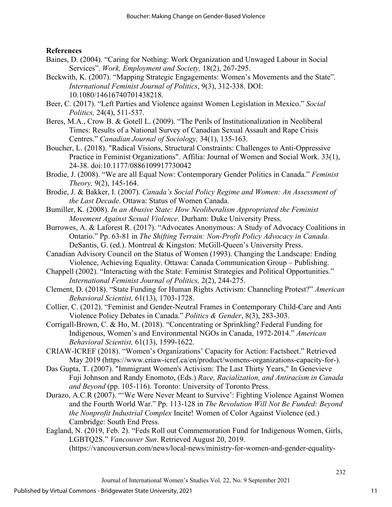## **References**

- Baines, D. (2004). "Caring for Nothing: Work Organization and Unwaged Labour in Social Services". *Work, Employment and Society,* 18(2), 267-295.
- Beckwith, K. (2007). "Mapping Strategic Engagements: Women's Movements and the State". *International Feminist Journal of Politics*, 9(3), 312-338. DOI: 10.1080/14616740701438218.
- Beer, C. (2017). "Left Parties and Violence against Women Legislation in Mexico." *Social Politics,* 24(4), 511-537.
- Beres, M.A., Crow B. & Gotell L. (2009). "The Perils of Institutionalization in Neoliberal Times: Results of a National Survey of Canadian Sexual Assault and Rape Crisis Centres." *Canadian Journal of Sociology,* 34(1), 135-163.
- Boucher, L. (2018). "Radical Visions, Structural Constraints: Challenges to Anti-Oppressive Practice in Feminist Organizations". Affilia: Journal of Women and Social Work. 33(1), 24-38. doi:10.1177/0886109917730042
- Brodie, J. (2008). "We are all Equal Now: Contemporary Gender Politics in Canada." *Feminist Theory,* 9(2), 145-164.
- Brodie, J. & Bakker, I. (2007). *Canada's Social Policy Regime and Women: An Assessment of the Last Decade*. Ottawa: Status of Women Canada.
- Bumiller, K. (2008). *In an Abusive State: How Neoliberalism Appropriated the Feminist Movement Against Sexual Violence*. Durham: Duke University Press.
- Burrowes, A. & Laforest R. (2017). "Advocates Anonymous: A Study of Advocacy Coalitions in Ontario." Pp. 63-81 in *The Shifting Terrain: Non-Profit Policy Advocacy in Canada.*  DeSantis, G. (ed.). Montreal & Kingston: McGill-Queen's University Press.
- Canadian Advisory Council on the Status of Women (1993). Changing the Landscape: Ending Violence, Achieving Equality. Ottawa: Canada Communication Group – Publishing.
- Chappell (2002). "Interacting with the State: Feminist Strategies and Political Opportunities." *International Feminist Journal of Politics,* 2(2), 244-275.
- Clement, D. (2018). "State Funding for Human Rights Activism: Channeling Protest?" *American Behavioral Scientist,* 61(13), 1703-1728.
- Collier, C. (2012). "Feminist and Gender-Neutral Frames in Contemporary Child-Care and Anti Violence Policy Debates in Canada." *Politics & Gender*, 8(3), 283-303.
- Corrigall-Brown, C. & Ho, M. (2018). "Concentrating or Sprinkling? Federal Funding for Indigenous, Women's and Environmental NGOs in Canada, 1972-2014." *American Behavioral Scientist,* 61(13), 1599-1622.
- CRIAW-ICREF (2018). "Women's Organizations' Capacity for Action: Factsheet." Retrieved May 2019 (https://www.criaw-icref.ca/en/product/womens-organizations-capacity-for-).
- Das Gupta, T. (2007). "Immigrant Women's Activism: The Last Thirty Years," In Genevieve Fuji Johnson and Randy Enomoto, (Eds.) *Race, Racialization, and Antiracism in Canada and Beyond* (pp. 105-116). Toronto: University of Toronto Press.
- Durazo, A.C.R (2007). "'We Were Never Meant to Survive': Fighting Violence Against Women and the Fourth World War." Pp. 113-128 in *The Revolution Will Not Be Funded: Beyond the Nonprofit Industrial Complex* Incite! Women of Color Against Violence (ed.) Cambridge: South End Press.
- Eagland, N. (2019, Feb. 2). "Feds Roll out Commemoration Fund for Indigenous Women, Girls, LGBTQ2S." *Vancouver Sun*. Retrieved August 20, 2019. (https://vancouversun.com/news/local-news/ministry-for-women-and-gender-equality-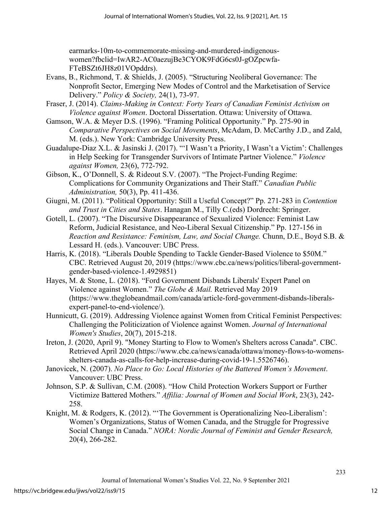earmarks-10m-to-commemorate-missing-and-murdered-indigenouswomen?fbclid=IwAR2-AC0aezujBe3CYOK9FdG6cs0J-gOZpcwfa-FTeBSZt6JH8z01VOpddrs).

- Evans, B., Richmond, T. & Shields, J. (2005). "Structuring Neoliberal Governance: The Nonprofit Sector, Emerging New Modes of Control and the Marketisation of Service Delivery." *Policy & Society,* 24(1), 73-97.
- Fraser, J. (2014). *Claims-Making in Context: Forty Years of Canadian Feminist Activism on Violence against Women*. Doctoral Dissertation. Ottawa: University of Ottawa.
- Gamson, W.A. & Meyer D.S. (1996). "Framing Political Opportunity." Pp. 275-90 in *Comparative Perspectives on Social Movements*, McAdam, D. McCarthy J.D., and Zald, M. (eds.). New York: Cambridge University Press.
- Guadalupe-Diaz X.L. & Jasinski J. (2017). "'I Wasn't a Priority, I Wasn't a Victim': Challenges in Help Seeking for Transgender Survivors of Intimate Partner Violence." *Violence against Women,* 23(6), 772-792.
- Gibson, K., O'Donnell, S. & Rideout S.V. (2007). "The Project-Funding Regime: Complications for Community Organizations and Their Staff." *Canadian Public Administration,* 50(3), Pp. 411-436.
- Giugni, M. (2011). "Political Opportunity: Still a Useful Concept?" Pp. 271-283 in *Contention and Trust in Cities and States*. Hanagan M., Tilly C.(eds) Dordrecht: Springer.
- Gotell, L. (2007). "The Discursive Disappearance of Sexualized Violence: Feminist Law Reform, Judicial Resistance, and Neo-Liberal Sexual Citizenship." Pp. 127-156 in *Reaction and Resistance: Feminism, Law, and Social Change.* Chunn, D.E., Boyd S.B. & Lessard H. (eds.). Vancouver: UBC Press.
- Harris, K. (2018). "Liberals Double Spending to Tackle Gender-Based Violence to \$50M." CBC. Retrieved August 20, 2019 (https://www.cbc.ca/news/politics/liberal-governmentgender-based-violence-1.4929851)
- Hayes, M. & Stone, L. (2018). "Ford Government Disbands Liberals' Expert Panel on Violence against Women." *The Globe & Mail.* Retrieved May 2019 (https://www.theglobeandmail.com/canada/article-ford-government-disbands-liberalsexpert-panel-to-end-violence/).
- Hunnicutt, G. (2019). Addressing Violence against Women from Critical Feminist Perspectives: Challenging the Politicization of Violence against Women. *Journal of International Women's Studies*, 20(7), 2015-218.
- Ireton, J. (2020, April 9). "Money Starting to Flow to Women's Shelters across Canada". CBC. Retrieved April 2020 (https://www.cbc.ca/news/canada/ottawa/money-flows-to-womensshelters-canada-as-calls-for-help-increase-during-covid-19-1.5526746).
- Janovicek, N. (2007). *No Place to Go: Local Histories of the Battered Women's Movement*. Vancouver: UBC Press.
- Johnson, S.P. & Sullivan, C.M. (2008). "How Child Protection Workers Support or Further Victimize Battered Mothers." *Affilia: Journal of Women and Social Work*, 23(3), 242- 258.
- Knight, M. & Rodgers, K. (2012). "'The Government is Operationalizing Neo-Liberalism': Women's Organizations, Status of Women Canada, and the Struggle for Progressive Social Change in Canada." *NORA: Nordic Journal of Feminist and Gender Research,*  20(4), 266-282.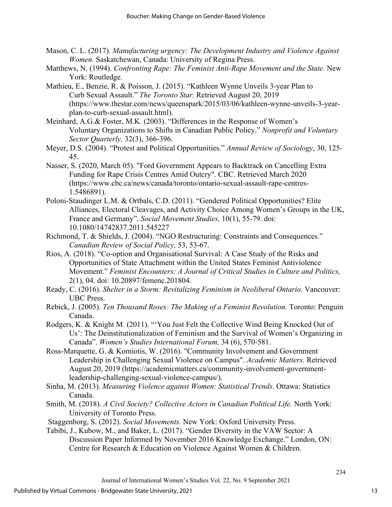- Mason, C. L. (2017). *Manufacturing urgency: The Development Industry and Violence Against Women.* Saskatchewan, Canada: University of Regina Press.
- Matthews, N. (1994). *Confronting Rape: The Feminist Anti-Rape Movement and the State.* New York: Routledge.
- Mathieu, E., Benzie, R. & Poisson, J. (2015). "Kathleen Wynne Unveils 3-year Plan to Curb Sexual Assault." *The Toronto Star.* Retrieved August 20, 2019 (https://www.thestar.com/news/queenspark/2015/03/06/kathleen-wynne-unveils-3-yearplan-to-curb-sexual-assault.html).
- Meinhard, A.G.& Foster, M.K. (2003). "Differences in the Response of Women's Voluntary Organizations to Shifts in Canadian Public Policy." *Nonprofit and Voluntary Sector Quarterly,* 32(3), 366-396.
- Meyer, D.S. (2004). "Protest and Political Opportunities." *Annual Review of Sociology*, 30, 125- 45.
- Nasser, S. (2020, March 05). "Ford Government Appears to Backtrack on Cancelling Extra Funding for Rape Crisis Centres Amid Outcry". CBC. Retrieved March 2020 (https://www.cbc.ca/news/canada/toronto/ontario-sexual-assault-rape-centres-1.5486891).
- Poloni-Staudinger L.M. & Ortbals, C.D. (2011). "Gendered Political Opportunities? Elite Alliances, Electoral Cleavages, and Activity Choice Among Women's Groups in the UK, France and Germany". *Social Movement Studies,* 10(1), 55-79. doi: 10.1080/14742837.2011.545227
- Richmond, T. & Shields, J. (2004). "NGO Restructuring: Constraints and Consequences." *Canadian Review of Social Policy,* 53, 53-67.
- Rios, A. (2018). "Co-option and Organisational Survival: A Case Study of the Risks and Opportunities of State Attachment within the United States Feminist Antiviolence Movement." *Feminist Encounters: A Journal of Critical Studies in Culture and Politics,* 2(1), 04. doi: 10.20897/femenc.201804.
- Ready, C. (2016). *Shelter in a Storm: Revitalizing Feminism in Neoliberal Ontario.* Vancouver: UBC Press.
- Rebick, J. (2005). *Ten Thousand Roses: The Making of a Feminist Revolution.* Toronto: Penguin Canada.
- Rodgers, K. & Knight M. (2011). "'You Just Felt the Collective Wind Being Knocked Out of Us': The Deinstitutionalization of Feminism and the Survival of Women's Organizing in Canada". *Women's Studies International Forum,* 34 (6), 570-581.
- Ross-Marquette, G. & Komiotis, W. (2016). "Community Involvement and Government Leadership in Challenging Sexual Violence on Campus". *Academic Matters.* Retrieved August 20, 2019 (https://academicmatters.ca/community-involvement-governmentleadership-challenging-sexual-violence-campus/).
- Sinha, M. (2013). *Measuring Violence against Women: Statistical Trends*. Ottawa: Statistics Canada.
- Smith, M. (2018). *A Civil Society? Collective Actors in Canadian Political Life.* North York: University of Toronto Press.
- Staggenborg, S. (2012). *Social Movements.* New York: Oxford University Press.
- Tabibi, J., Kubow, M., and Baker, L. (2017). "Gender Diversity in the VAW Sector: A Discussion Paper Informed by November 2016 Knowledge Exchange." London, ON: Centre for Research & Education on Violence Against Women & Children.